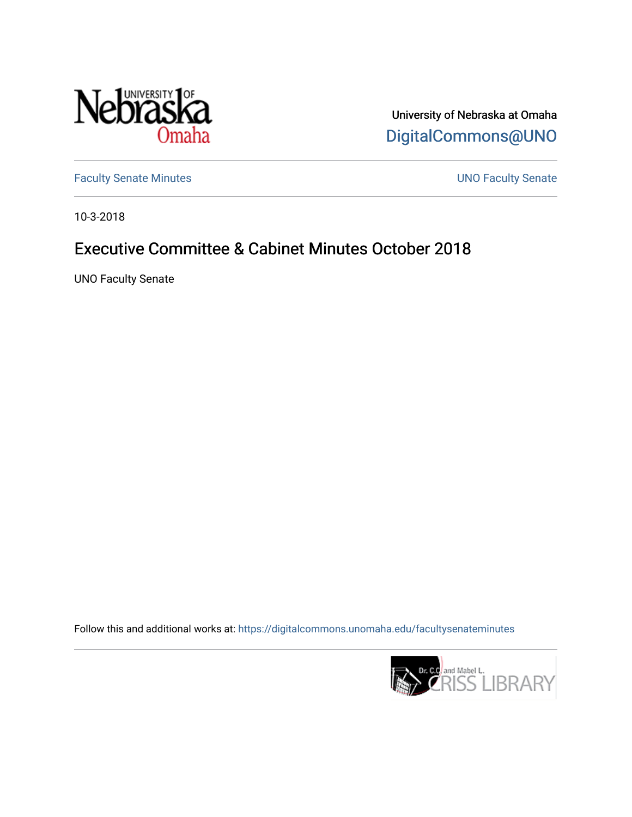

University of Nebraska at Omaha [DigitalCommons@UNO](https://digitalcommons.unomaha.edu/) 

[Faculty Senate Minutes](https://digitalcommons.unomaha.edu/facultysenateminutes) **Exercise Senate UNO Faculty Senate** 

10-3-2018

# Executive Committee & Cabinet Minutes October 2018

UNO Faculty Senate

Follow this and additional works at: [https://digitalcommons.unomaha.edu/facultysenateminutes](https://digitalcommons.unomaha.edu/facultysenateminutes?utm_source=digitalcommons.unomaha.edu%2Ffacultysenateminutes%2F116&utm_medium=PDF&utm_campaign=PDFCoverPages) 

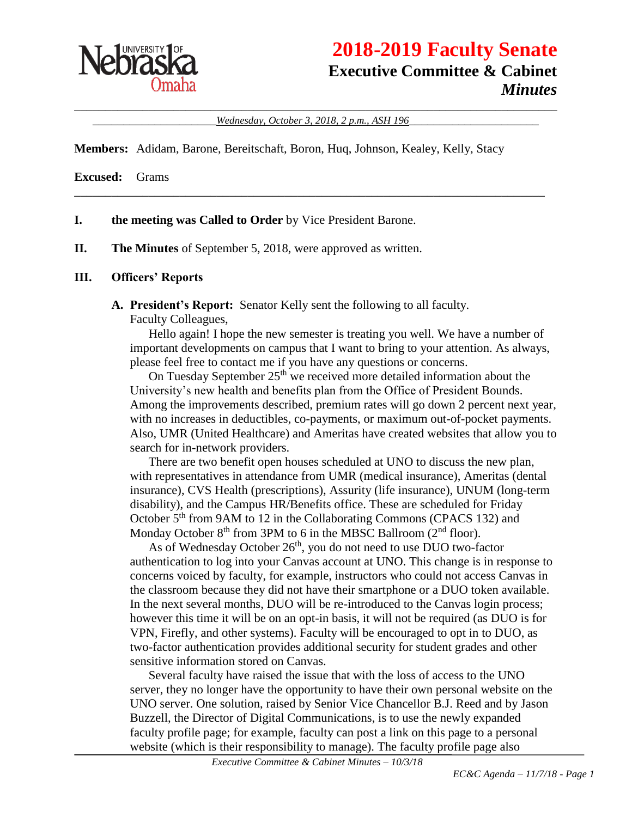

# **2018-2019 Faculty Senate Executive Committee & Cabinet** *Minutes*

\_\_\_\_\_\_\_\_\_\_\_\_\_\_\_\_\_\_\_\_\_\_\_\_\_\_\_\_\_\_\_\_\_\_\_\_\_\_\_\_\_\_\_\_\_\_\_\_\_\_\_\_\_\_\_\_\_\_\_\_\_\_\_\_\_\_\_\_\_\_\_\_\_\_\_\_\_\_ \_\_\_\_\_\_\_\_\_\_\_\_\_\_\_\_\_\_\_\_*Wednesday, October 3, 2018, 2 p.m., ASH 196*\_\_\_\_\_\_\_\_\_\_\_\_\_\_\_\_\_\_\_\_\_

\_\_\_\_\_\_\_\_\_\_\_\_\_\_\_\_\_\_\_\_\_\_\_\_\_\_\_\_\_\_\_\_\_\_\_\_\_\_\_\_\_\_\_\_\_\_\_\_\_\_\_\_\_\_\_\_\_\_\_\_\_\_\_\_\_\_\_\_\_\_\_\_\_\_\_\_

**Members:** Adidam, Barone, Bereitschaft, Boron, Huq, Johnson, Kealey, Kelly, Stacy

**Excused:** Grams

- **I. the meeting was Called to Order** by Vice President Barone.
- **II. The Minutes** of September 5, 2018, were approved as written.

#### **III. Officers' Reports**

**A. President's Report:** Senator Kelly sent the following to all faculty.

Faculty Colleagues,

Hello again! I hope the new semester is treating you well. We have a number of important developments on campus that I want to bring to your attention. As always, please feel free to contact me if you have any questions or concerns.

On Tuesday September 25<sup>th</sup> we received more detailed information about the University's new health and benefits plan from the Office of President Bounds. Among the improvements described, premium rates will go down 2 percent next year, with no increases in deductibles, co-payments, or maximum out-of-pocket payments. Also, UMR (United Healthcare) and Ameritas have created websites that allow you to search for in-network providers.

There are two benefit open houses scheduled at UNO to discuss the new plan, with representatives in attendance from UMR (medical insurance), Ameritas (dental insurance), CVS Health (prescriptions), Assurity (life insurance), UNUM (long-term disability), and the Campus HR/Benefits office. These are scheduled for Friday October 5<sup>th</sup> from 9AM to 12 in the Collaborating Commons (CPACS 132) and Monday October  $8<sup>th</sup>$  from 3PM to 6 in the MBSC Ballroom ( $2<sup>nd</sup>$  floor).

As of Wednesday October 26<sup>th</sup>, you do not need to use DUO two-factor authentication to log into your Canvas account at UNO. This change is in response to concerns voiced by faculty, for example, instructors who could not access Canvas in the classroom because they did not have their smartphone or a DUO token available. In the next several months, DUO will be re-introduced to the Canvas login process; however this time it will be on an opt-in basis, it will not be required (as DUO is for VPN, Firefly, and other systems). Faculty will be encouraged to opt in to DUO, as two-factor authentication provides additional security for student grades and other sensitive information stored on Canvas.

Several faculty have raised the issue that with the loss of access to the UNO server, they no longer have the opportunity to have their own personal website on the UNO server. One solution, raised by Senior Vice Chancellor B.J. Reed and by Jason Buzzell, the Director of Digital Communications, is to use the newly expanded faculty profile page; for example, faculty can post a link on this page to a personal website (which is their responsibility to manage). The faculty profile page also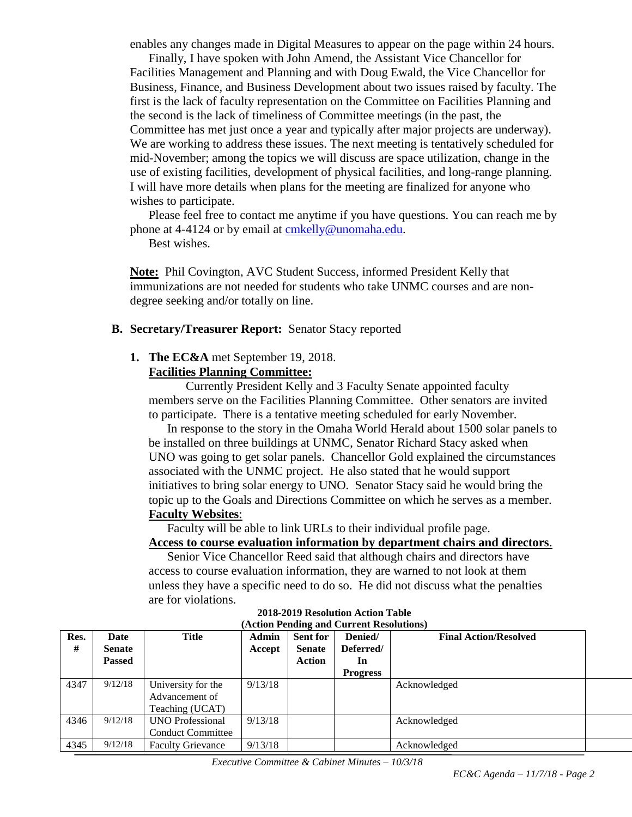enables any changes made in Digital Measures to appear on the page within 24 hours.

Finally, I have spoken with John Amend, the Assistant Vice Chancellor for Facilities Management and Planning and with Doug Ewald, the Vice Chancellor for Business, Finance, and Business Development about two issues raised by faculty. The first is the lack of faculty representation on the Committee on Facilities Planning and the second is the lack of timeliness of Committee meetings (in the past, the Committee has met just once a year and typically after major projects are underway). We are working to address these issues. The next meeting is tentatively scheduled for mid-November; among the topics we will discuss are space utilization, change in the use of existing facilities, development of physical facilities, and long-range planning. I will have more details when plans for the meeting are finalized for anyone who wishes to participate.

Please feel free to contact me anytime if you have questions. You can reach me by phone at 4-4124 or by email at [cmkelly@unomaha.edu.](mailto:cmkelly@unomaha.edu)

Best wishes.

**Note:** Phil Covington, AVC Student Success, informed President Kelly that immunizations are not needed for students who take UNMC courses and are nondegree seeking and/or totally on line.

#### **B. Secretary/Treasurer Report:** Senator Stacy reported

#### **1. The EC&A** met September 19, 2018.

#### **Facilities Planning Committee:**

Currently President Kelly and 3 Faculty Senate appointed faculty members serve on the Facilities Planning Committee. Other senators are invited to participate. There is a tentative meeting scheduled for early November.

In response to the story in the Omaha World Herald about 1500 solar panels to be installed on three buildings at UNMC, Senator Richard Stacy asked when UNO was going to get solar panels. Chancellor Gold explained the circumstances associated with the UNMC project. He also stated that he would support initiatives to bring solar energy to UNO. Senator Stacy said he would bring the topic up to the Goals and Directions Committee on which he serves as a member. **Faculty Websites**:

Faculty will be able to link URLs to their individual profile page.

#### **Access to course evaluation information by department chairs and directors**.

Senior Vice Chancellor Reed said that although chairs and directors have access to course evaluation information, they are warned to not look at them unless they have a specific need to do so. He did not discuss what the penalties are for violations.

| Res. | Date    | <b>Title</b>             | Admin   | <b>Sent for</b> | Denied/         | <b>Final Action/Resolved</b> |
|------|---------|--------------------------|---------|-----------------|-----------------|------------------------------|
| #    | Senate  |                          | Accept  | <b>Senate</b>   | Deferred/       |                              |
|      | Passed  |                          |         | Action          | In              |                              |
|      |         |                          |         |                 | <b>Progress</b> |                              |
| 4347 | 9/12/18 | University for the       | 9/13/18 |                 |                 | Acknowledged                 |
|      |         | Advancement of           |         |                 |                 |                              |
|      |         | Teaching (UCAT)          |         |                 |                 |                              |
| 4346 | 9/12/18 | <b>UNO</b> Professional  | 9/13/18 |                 |                 | Acknowledged                 |
|      |         | <b>Conduct Committee</b> |         |                 |                 |                              |
| 4345 | 9/12/18 | <b>Faculty Grievance</b> | 9/13/18 |                 |                 | Acknowledged                 |

#### **2018-2019 Resolution Action Table (Action Pending and Current Resolutions)**

*Executive Committee & Cabinet Minutes – 10/3/18*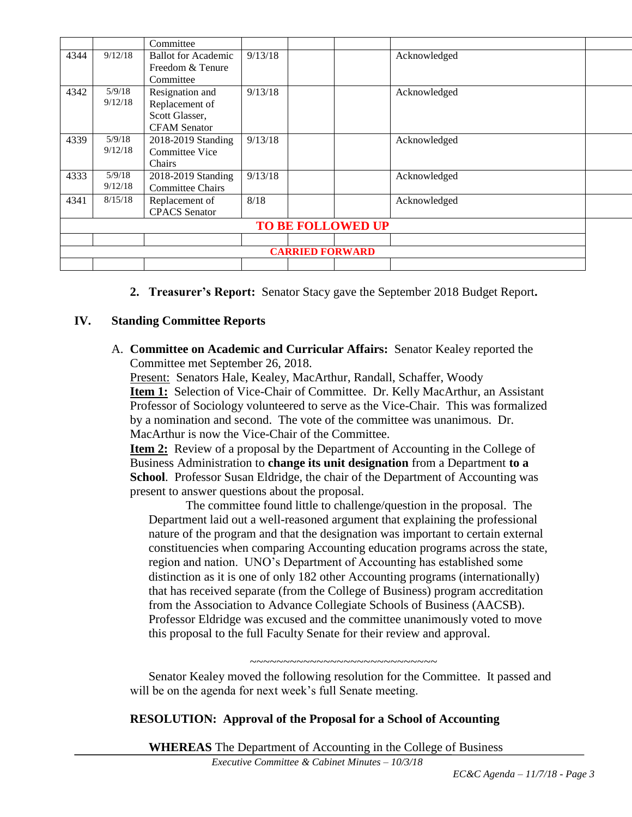|      |                        | Committee                  |         |  |                          |              |  |  |
|------|------------------------|----------------------------|---------|--|--------------------------|--------------|--|--|
| 4344 | 9/12/18                | <b>Ballot for Academic</b> | 9/13/18 |  |                          | Acknowledged |  |  |
|      |                        | Freedom & Tenure           |         |  |                          |              |  |  |
|      |                        | Committee                  |         |  |                          |              |  |  |
| 4342 | 5/9/18                 | Resignation and            | 9/13/18 |  |                          | Acknowledged |  |  |
|      | 9/12/18                | Replacement of             |         |  |                          |              |  |  |
|      |                        | Scott Glasser,             |         |  |                          |              |  |  |
|      |                        | <b>CFAM Senator</b>        |         |  |                          |              |  |  |
| 4339 | 5/9/18                 | 2018-2019 Standing         | 9/13/18 |  |                          | Acknowledged |  |  |
|      | 9/12/18                | <b>Committee Vice</b>      |         |  |                          |              |  |  |
|      |                        | Chairs                     |         |  |                          |              |  |  |
| 4333 | 5/9/18                 | 2018-2019 Standing         | 9/13/18 |  |                          | Acknowledged |  |  |
|      | 9/12/18                | <b>Committee Chairs</b>    |         |  |                          |              |  |  |
| 4341 | 8/15/18                | Replacement of             | 8/18    |  |                          | Acknowledged |  |  |
|      |                        | <b>CPACS</b> Senator       |         |  |                          |              |  |  |
|      |                        |                            |         |  | <b>TO BE FOLLOWED UP</b> |              |  |  |
|      |                        |                            |         |  |                          |              |  |  |
|      | <b>CARRIED FORWARD</b> |                            |         |  |                          |              |  |  |
|      |                        |                            |         |  |                          |              |  |  |

**2. Treasurer's Report:** Senator Stacy gave the September 2018 Budget Report**.**

#### **IV. Standing Committee Reports**

A. **Committee on Academic and Curricular Affairs:** Senator Kealey reported the Committee met September 26, 2018.

Present: Senators Hale, Kealey, MacArthur, Randall, Schaffer, Woody **Item 1:** Selection of Vice-Chair of Committee. Dr. Kelly MacArthur, an Assistant Professor of Sociology volunteered to serve as the Vice-Chair. This was formalized by a nomination and second. The vote of the committee was unanimous. Dr. MacArthur is now the Vice-Chair of the Committee.

**Item 2:** Review of a proposal by the Department of Accounting in the College of Business Administration to **change its unit designation** from a Department **to a School**. Professor Susan Eldridge, the chair of the Department of Accounting was present to answer questions about the proposal.

The committee found little to challenge/question in the proposal. The Department laid out a well-reasoned argument that explaining the professional nature of the program and that the designation was important to certain external constituencies when comparing Accounting education programs across the state, region and nation. UNO's Department of Accounting has established some distinction as it is one of only 182 other Accounting programs (internationally) that has received separate (from the College of Business) program accreditation from the Association to Advance Collegiate Schools of Business (AACSB). Professor Eldridge was excused and the committee unanimously voted to move this proposal to the full Faculty Senate for their review and approval.

~~~~~~~~~~~~~~~~~~~~~~~~~~~~

Senator Kealey moved the following resolution for the Committee. It passed and will be on the agenda for next week's full Senate meeting.

#### **RESOLUTION: Approval of the Proposal for a School of Accounting**

**WHEREAS** The Department of Accounting in the College of Business

*Executive Committee & Cabinet Minutes – 10/3/18*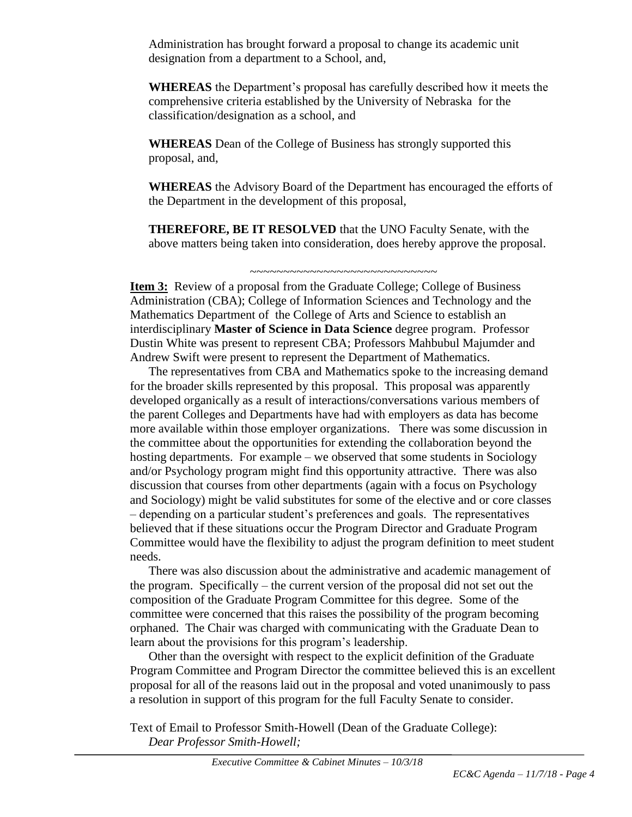Administration has brought forward a proposal to change its academic unit designation from a department to a School, and,

**WHEREAS** the Department's proposal has carefully described how it meets the comprehensive criteria established by the University of Nebraska for the classification/designation as a school, and

**WHEREAS** Dean of the College of Business has strongly supported this proposal, and,

**WHEREAS** the Advisory Board of the Department has encouraged the efforts of the Department in the development of this proposal,

**THEREFORE, BE IT RESOLVED** that the UNO Faculty Senate, with the above matters being taken into consideration, does hereby approve the proposal.

~~~~~~~~~~~~~~~~~~~~~~~~~~~~

**Item 3:** Review of a proposal from the Graduate College; College of Business Administration (CBA); College of Information Sciences and Technology and the Mathematics Department of the College of Arts and Science to establish an interdisciplinary **Master of Science in Data Science** degree program. Professor Dustin White was present to represent CBA; Professors Mahbubul Majumder and Andrew Swift were present to represent the Department of Mathematics.

The representatives from CBA and Mathematics spoke to the increasing demand for the broader skills represented by this proposal. This proposal was apparently developed organically as a result of interactions/conversations various members of the parent Colleges and Departments have had with employers as data has become more available within those employer organizations. There was some discussion in the committee about the opportunities for extending the collaboration beyond the hosting departments. For example – we observed that some students in Sociology and/or Psychology program might find this opportunity attractive. There was also discussion that courses from other departments (again with a focus on Psychology and Sociology) might be valid substitutes for some of the elective and or core classes – depending on a particular student's preferences and goals. The representatives believed that if these situations occur the Program Director and Graduate Program Committee would have the flexibility to adjust the program definition to meet student needs.

There was also discussion about the administrative and academic management of the program. Specifically – the current version of the proposal did not set out the composition of the Graduate Program Committee for this degree. Some of the committee were concerned that this raises the possibility of the program becoming orphaned. The Chair was charged with communicating with the Graduate Dean to learn about the provisions for this program's leadership.

Other than the oversight with respect to the explicit definition of the Graduate Program Committee and Program Director the committee believed this is an excellent proposal for all of the reasons laid out in the proposal and voted unanimously to pass a resolution in support of this program for the full Faculty Senate to consider.

Text of Email to Professor Smith-Howell (Dean of the Graduate College): *Dear Professor Smith-Howell;*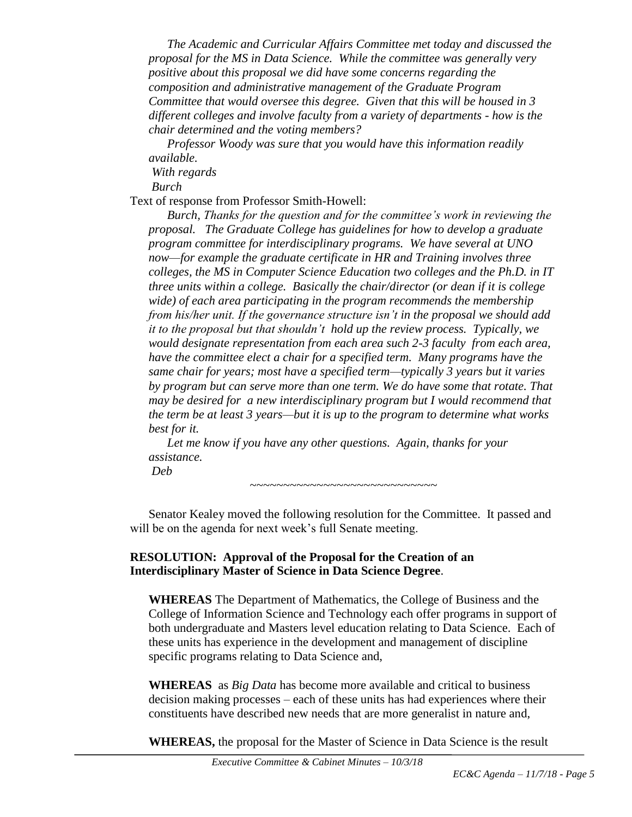*The Academic and Curricular Affairs Committee met today and discussed the proposal for the MS in Data Science. While the committee was generally very positive about this proposal we did have some concerns regarding the composition and administrative management of the Graduate Program Committee that would oversee this degree. Given that this will be housed in 3 different colleges and involve faculty from a variety of departments - how is the chair determined and the voting members?*

*Professor Woody was sure that you would have this information readily available.*

*With regards*

*Burch*

Text of response from Professor Smith-Howell:

*Burch, Thanks for the question and for the committee's work in reviewing the proposal. The Graduate College has guidelines for how to develop a graduate program committee for interdisciplinary programs. We have several at UNO now—for example the graduate certificate in HR and Training involves three colleges, the MS in Computer Science Education two colleges and the Ph.D. in IT three units within a college. Basically the chair/director (or dean if it is college wide) of each area participating in the program recommends the membership from his/her unit. If the governance structure isn't in the proposal we should add it to the proposal but that shouldn't hold up the review process. Typically, we would designate representation from each area such 2-3 faculty from each area, have the committee elect a chair for a specified term. Many programs have the same chair for years; most have a specified term—typically 3 years but it varies by program but can serve more than one term. We do have some that rotate. That may be desired for a new interdisciplinary program but I would recommend that the term be at least 3 years—but it is up to the program to determine what works best for it.*

*Let me know if you have any other questions. Again, thanks for your assistance. Deb* 

~~~~~~~~~~~~~~~~~~~~~~~~~~~~

Senator Kealey moved the following resolution for the Committee. It passed and will be on the agenda for next week's full Senate meeting.

# **RESOLUTION: Approval of the Proposal for the Creation of an Interdisciplinary Master of Science in Data Science Degree**.

**WHEREAS** The Department of Mathematics, the College of Business and the College of Information Science and Technology each offer programs in support of both undergraduate and Masters level education relating to Data Science. Each of these units has experience in the development and management of discipline specific programs relating to Data Science and,

**WHEREAS** as *Big Data* has become more available and critical to business decision making processes – each of these units has had experiences where their constituents have described new needs that are more generalist in nature and,

**WHEREAS,** the proposal for the Master of Science in Data Science is the result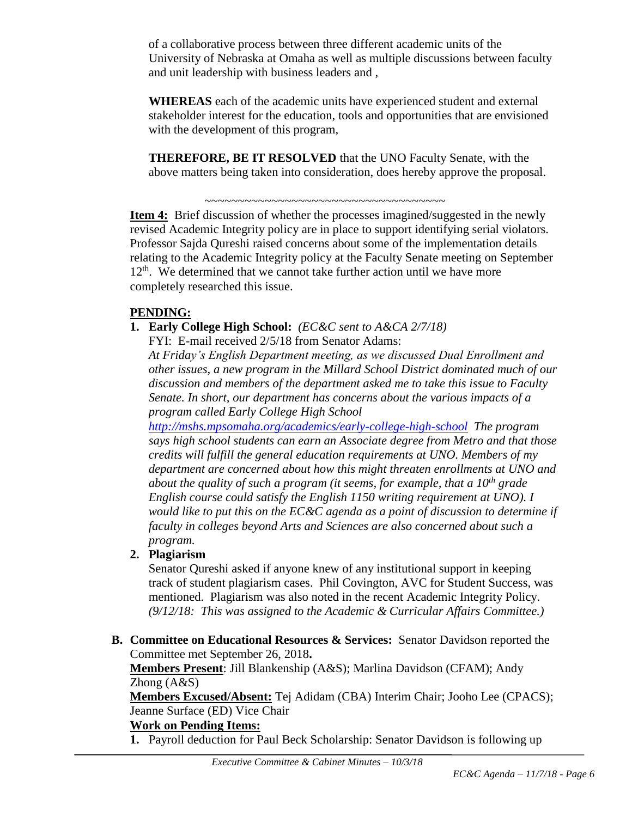of a collaborative process between three different academic units of the University of Nebraska at Omaha as well as multiple discussions between faculty and unit leadership with business leaders and ,

**WHEREAS** each of the academic units have experienced student and external stakeholder interest for the education, tools and opportunities that are envisioned with the development of this program,

**THEREFORE, BE IT RESOLVED** that the UNO Faculty Senate, with the above matters being taken into consideration, does hereby approve the proposal.

~~~~~~~~~~~~~~~~~~~~~~~~~~~~~~~~~~~~

**Item 4:** Brief discussion of whether the processes imagined/suggested in the newly revised Academic Integrity policy are in place to support identifying serial violators. Professor Sajda Qureshi raised concerns about some of the implementation details relating to the Academic Integrity policy at the Faculty Senate meeting on September  $12<sup>th</sup>$ . We determined that we cannot take further action until we have more completely researched this issue.

# **PENDING:**

**1. Early College High School:** *(EC&C sent to A&CA 2/7/18)*

FYI: E-mail received 2/5/18 from Senator Adams:

*At Friday's English Department meeting, as we discussed Dual Enrollment and other issues, a new program in the Millard School District dominated much of our discussion and members of the department asked me to take this issue to Faculty Senate. In short, our department has concerns about the various impacts of a program called Early College High School* 

*<http://mshs.mpsomaha.org/academics/early-college-high-school> The program says high school students can earn an Associate degree from Metro and that those credits will fulfill the general education requirements at UNO. Members of my department are concerned about how this might threaten enrollments at UNO and about the quality of such a program (it seems, for example, that a 10th grade English course could satisfy the English 1150 writing requirement at UNO). I would like to put this on the EC&C agenda as a point of discussion to determine if faculty in colleges beyond Arts and Sciences are also concerned about such a program.*

# **2. Plagiarism**

Senator Qureshi asked if anyone knew of any institutional support in keeping track of student plagiarism cases. Phil Covington, AVC for Student Success, was mentioned. Plagiarism was also noted in the recent Academic Integrity Policy. *(9/12/18: This was assigned to the Academic & Curricular Affairs Committee.)* 

**B. Committee on Educational Resources & Services:** Senator Davidson reported the Committee met September 26, 2018**.**

**Members Present**: Jill Blankenship (A&S); Marlina Davidson (CFAM); Andy Zhong (A&S)

**Members Excused/Absent:** Tej Adidam (CBA) Interim Chair; Jooho Lee (CPACS); Jeanne Surface (ED) Vice Chair

#### **Work on Pending Items:**

**1.** Payroll deduction for Paul Beck Scholarship: Senator Davidson is following up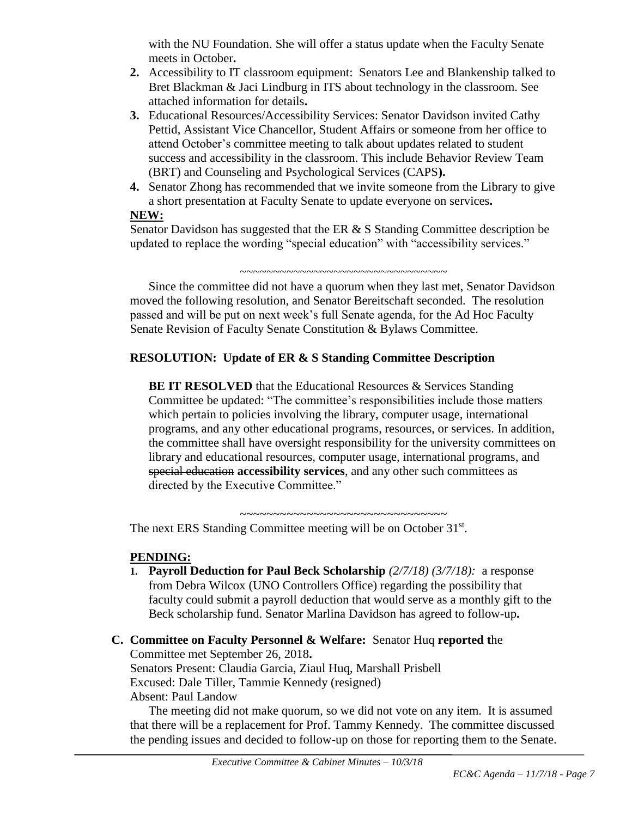with the NU Foundation. She will offer a status update when the Faculty Senate meets in October**.**

- **2.** Accessibility to IT classroom equipment: Senators Lee and Blankenship talked to Bret Blackman & Jaci Lindburg in ITS about technology in the classroom. See attached information for details**.**
- **3.** Educational Resources/Accessibility Services: Senator Davidson invited Cathy Pettid, Assistant Vice Chancellor, Student Affairs or someone from her office to attend October's committee meeting to talk about updates related to student success and accessibility in the classroom. This include Behavior Review Team (BRT) and Counseling and Psychological Services (CAPS**).**
- **4.** Senator Zhong has recommended that we invite someone from the Library to give a short presentation at Faculty Senate to update everyone on services**.**

#### **NEW:**

Senator Davidson has suggested that the ER  $& S$  Standing Committee description be updated to replace the wording "special education" with "accessibility services."

~~~~~~~~~~~~~~~~~~~~~~~~~~~~~~~~~~

Since the committee did not have a quorum when they last met, Senator Davidson moved the following resolution, and Senator Bereitschaft seconded. The resolution passed and will be put on next week's full Senate agenda, for the Ad Hoc Faculty Senate Revision of Faculty Senate Constitution & Bylaws Committee.

# **RESOLUTION: Update of ER & S Standing Committee Description**

**BE IT RESOLVED** that the Educational Resources & Services Standing Committee be updated: "The committee's responsibilities include those matters which pertain to policies involving the library, computer usage, international programs, and any other educational programs, resources, or services. In addition, the committee shall have oversight responsibility for the university committees on library and educational resources, computer usage, international programs, and special education **accessibility services**, and any other such committees as directed by the Executive Committee."

The next ERS Standing Committee meeting will be on October 31st.

# **PENDING:**

**1. Payroll Deduction for Paul Beck Scholarship** *(2/7/18) (3/7/18):* a response from Debra Wilcox (UNO Controllers Office) regarding the possibility that faculty could submit a payroll deduction that would serve as a monthly gift to the Beck scholarship fund. Senator Marlina Davidson has agreed to follow-up**.** 

~~~~~~~~~~~~~~~~~~~~~~~~~~~~~~~

**C. Committee on Faculty Personnel & Welfare:** Senator Huq **reported t**he Committee met September 26, 2018**.** Senators Present: Claudia Garcia, Ziaul Huq, Marshall Prisbell Excused: Dale Tiller, Tammie Kennedy (resigned) Absent: Paul Landow

The meeting did not make quorum, so we did not vote on any item. It is assumed that there will be a replacement for Prof. Tammy Kennedy. The committee discussed the pending issues and decided to follow-up on those for reporting them to the Senate.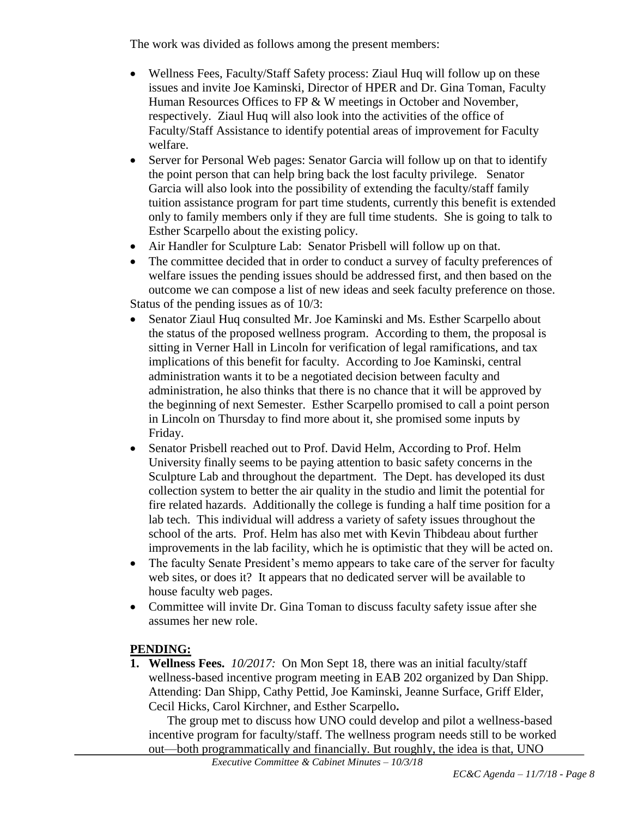The work was divided as follows among the present members:

- Wellness Fees, Faculty/Staff Safety process: Ziaul Huq will follow up on these issues and invite Joe Kaminski, Director of HPER and Dr. Gina Toman, Faculty Human Resources Offices to FP & W meetings in October and November, respectively. Ziaul Huq will also look into the activities of the office of Faculty/Staff Assistance to identify potential areas of improvement for Faculty welfare.
- Server for Personal Web pages: Senator Garcia will follow up on that to identify the point person that can help bring back the lost faculty privilege. Senator Garcia will also look into the possibility of extending the faculty/staff family tuition assistance program for part time students, currently this benefit is extended only to family members only if they are full time students. She is going to talk to Esther Scarpello about the existing policy.
- Air Handler for Sculpture Lab: Senator Prisbell will follow up on that.
- The committee decided that in order to conduct a survey of faculty preferences of welfare issues the pending issues should be addressed first, and then based on the outcome we can compose a list of new ideas and seek faculty preference on those. Status of the pending issues as of 10/3:
- Senator Ziaul Huq consulted Mr. Joe Kaminski and Ms. Esther Scarpello about the status of the proposed wellness program. According to them, the proposal is sitting in Verner Hall in Lincoln for verification of legal ramifications, and tax implications of this benefit for faculty. According to Joe Kaminski, central administration wants it to be a negotiated decision between faculty and administration, he also thinks that there is no chance that it will be approved by the beginning of next Semester. Esther Scarpello promised to call a point person in Lincoln on Thursday to find more about it, she promised some inputs by Friday.
- Senator Prisbell reached out to Prof. David Helm, According to Prof. Helm University finally seems to be paying attention to basic safety concerns in the Sculpture Lab and throughout the department. The Dept. has developed its dust collection system to better the air quality in the studio and limit the potential for fire related hazards. Additionally the college is funding a half time position for a lab tech. This individual will address a variety of safety issues throughout the school of the arts. Prof. Helm has also met with Kevin Thibdeau about further improvements in the lab facility, which he is optimistic that they will be acted on.
- The faculty Senate President's memo appears to take care of the server for faculty web sites, or does it? It appears that no dedicated server will be available to house faculty web pages.
- Committee will invite Dr. Gina Toman to discuss faculty safety issue after she assumes her new role.

# **PENDING:**

**1. Wellness Fees.** *10/2017:*On Mon Sept 18, there was an initial faculty/staff wellness-based incentive program meeting in EAB 202 organized by Dan Shipp. Attending: Dan Shipp, Cathy Pettid, Joe Kaminski, Jeanne Surface, Griff Elder, Cecil Hicks, Carol Kirchner, and Esther Scarpello**.**

The group met to discuss how UNO could develop and pilot a wellness-based incentive program for faculty/staff. The wellness program needs still to be worked out—both programmatically and financially. But roughly, the idea is that, UNO

*Executive Committee & Cabinet Minutes – 10/3/18*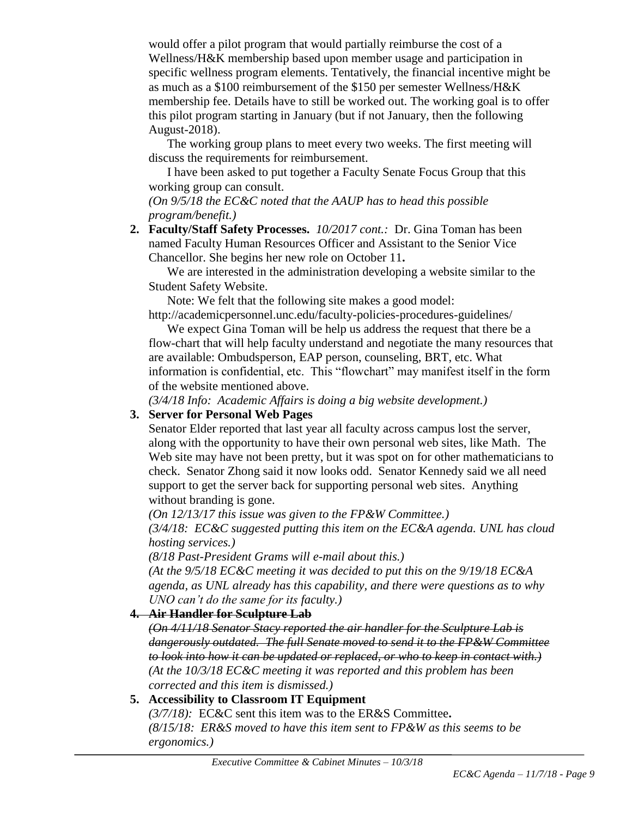would offer a pilot program that would partially reimburse the cost of a Wellness/H&K membership based upon member usage and participation in specific wellness program elements. Tentatively, the financial incentive might be as much as a \$100 reimbursement of the \$150 per semester Wellness/H&K membership fee. Details have to still be worked out. The working goal is to offer this pilot program starting in January (but if not January, then the following August-2018).

The working group plans to meet every two weeks. The first meeting will discuss the requirements for reimbursement.

I have been asked to put together a Faculty Senate Focus Group that this working group can consult.

*(On 9/5/18 the EC&C noted that the AAUP has to head this possible program/benefit.)*

**2. Faculty/Staff Safety Processes.** *10/2017 cont.:* Dr. Gina Toman has been named Faculty Human Resources Officer and Assistant to the Senior Vice Chancellor. She begins her new role on October 11**.**

We are interested in the administration developing a website similar to the Student Safety Website.

Note: We felt that the following site makes a good model:

http://academicpersonnel.unc.edu/faculty-policies-procedures-guidelines/

We expect Gina Toman will be help us address the request that there be a flow-chart that will help faculty understand and negotiate the many resources that are available: Ombudsperson, EAP person, counseling, BRT, etc. What information is confidential, etc. This "flowchart" may manifest itself in the form of the website mentioned above.

*(3/4/18 Info: Academic Affairs is doing a big website development.)*

# **3. Server for Personal Web Pages**

Senator Elder reported that last year all faculty across campus lost the server, along with the opportunity to have their own personal web sites, like Math. The Web site may have not been pretty, but it was spot on for other mathematicians to check. Senator Zhong said it now looks odd. Senator Kennedy said we all need support to get the server back for supporting personal web sites. Anything without branding is gone.

*(On 12/13/17 this issue was given to the FP&W Committee.)*

*(3/4/18: EC&C suggested putting this item on the EC&A agenda. UNL has cloud hosting services.)*

*(8/18 Past-President Grams will e-mail about this.)*

*(At the 9/5/18 EC&C meeting it was decided to put this on the 9/19/18 EC&A agenda, as UNL already has this capability, and there were questions as to why UNO can't do the same for its faculty.)*

# **4. Air Handler for Sculpture Lab**

*(On 4/11/18 Senator Stacy reported the air handler for the Sculpture Lab is dangerously outdated. The full Senate moved to send it to the FP&W Committee to look into how it can be updated or replaced, or who to keep in contact with.) (At the 10/3/18 EC&C meeting it was reported and this problem has been corrected and this item is dismissed.)*

# **5. Accessibility to Classroom IT Equipment**

*(3/7/18):* EC&C sent this item was to the ER&S Committee**.**  *(8/15/18: ER&S moved to have this item sent to FP&W as this seems to be ergonomics.)*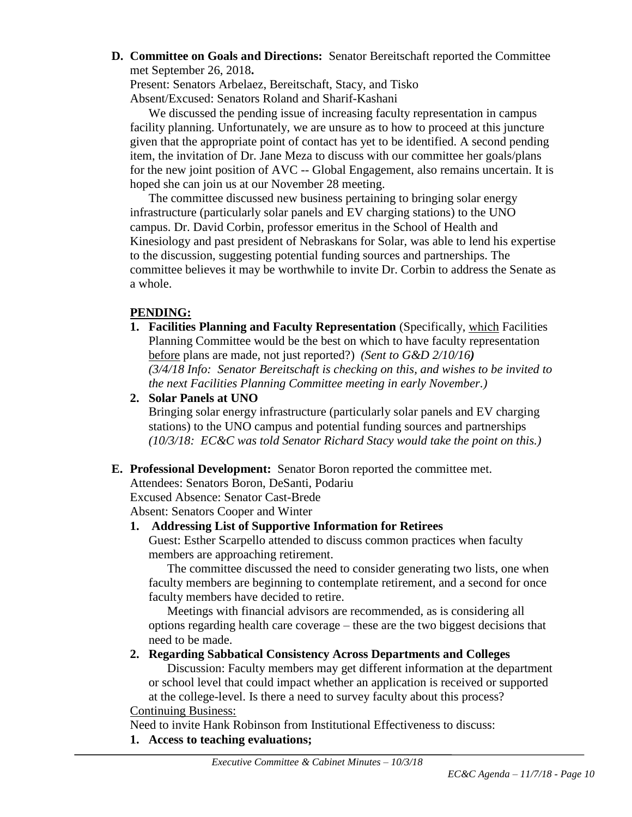**D. Committee on Goals and Directions:** Senator Bereitschaft reported the Committee met September 26, 2018**.**

Present: Senators Arbelaez, Bereitschaft, Stacy, and Tisko Absent/Excused: Senators Roland and Sharif-Kashani

We discussed the pending issue of increasing faculty representation in campus facility planning. Unfortunately, we are unsure as to how to proceed at this juncture given that the appropriate point of contact has yet to be identified. A second pending item, the invitation of Dr. Jane Meza to discuss with our committee her goals/plans for the new joint position of AVC -- Global Engagement, also remains uncertain. It is hoped she can join us at our November 28 meeting.

The committee discussed new business pertaining to bringing solar energy infrastructure (particularly solar panels and EV charging stations) to the UNO campus. Dr. David Corbin, professor emeritus in the School of Health and Kinesiology and past president of Nebraskans for Solar, was able to lend his expertise to the discussion, suggesting potential funding sources and partnerships. The committee believes it may be worthwhile to invite Dr. Corbin to address the Senate as a whole.

#### **PENDING:**

- **1. Facilities Planning and Faculty Representation** (Specifically, which Facilities Planning Committee would be the best on which to have faculty representation before plans are made, not just reported?) *(Sent to G&D 2/10/16) (3/4/18 Info: Senator Bereitschaft is checking on this, and wishes to be invited to the next Facilities Planning Committee meeting in early November.)*
- **2. Solar Panels at UNO**

Bringing solar energy infrastructure (particularly solar panels and EV charging stations) to the UNO campus and potential funding sources and partnerships *(10/3/18: EC&C was told Senator Richard Stacy would take the point on this.)*

#### **E. Professional Development:** Senator Boron reported the committee met.

Attendees: Senators Boron, DeSanti, Podariu Excused Absence: Senator Cast-Brede

Absent: Senators Cooper and Winter

# **1. Addressing List of Supportive Information for Retirees**

Guest: Esther Scarpello attended to discuss common practices when faculty members are approaching retirement.

The committee discussed the need to consider generating two lists, one when faculty members are beginning to contemplate retirement, and a second for once faculty members have decided to retire.

Meetings with financial advisors are recommended, as is considering all options regarding health care coverage – these are the two biggest decisions that need to be made.

**2. Regarding Sabbatical Consistency Across Departments and Colleges**

Discussion: Faculty members may get different information at the department or school level that could impact whether an application is received or supported at the college-level. Is there a need to survey faculty about this process? Continuing Business:

Need to invite Hank Robinson from Institutional Effectiveness to discuss:

# **1. Access to teaching evaluations;**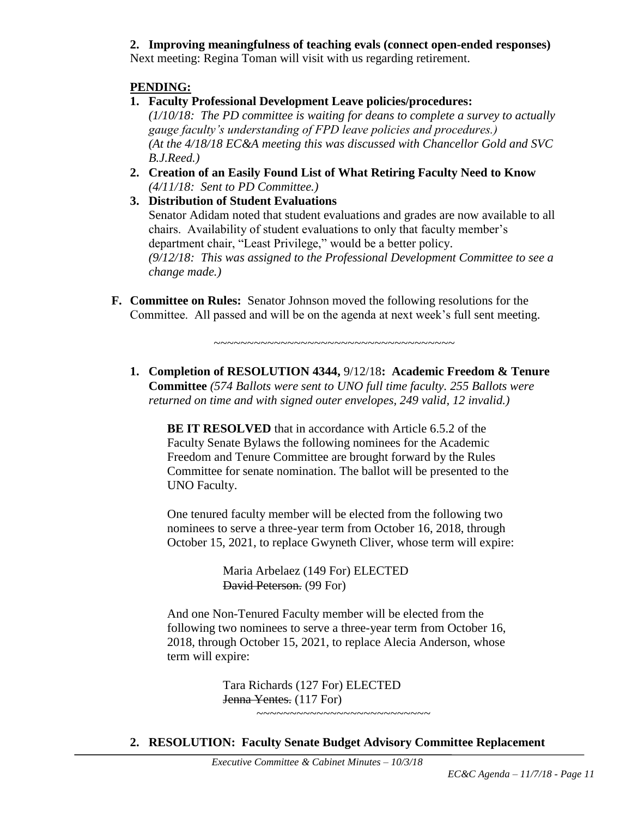# **2. Improving meaningfulness of teaching evals (connect open-ended responses)**

Next meeting: Regina Toman will visit with us regarding retirement.

#### **PENDING:**

**1. Faculty Professional Development Leave policies/procedures:** 

*(1/10/18: The PD committee is waiting for deans to complete a survey to actually gauge faculty's understanding of FPD leave policies and procedures.) (At the 4/18/18 EC&A meeting this was discussed with Chancellor Gold and SVC B.J.Reed.)*

- **2. Creation of an Easily Found List of What Retiring Faculty Need to Know** *(4/11/18: Sent to PD Committee.)*
- **3. Distribution of Student Evaluations** Senator Adidam noted that student evaluations and grades are now available to all chairs. Availability of student evaluations to only that faculty member's department chair, "Least Privilege," would be a better policy. *(9/12/18: This was assigned to the Professional Development Committee to see a change made.)*
- **F. Committee on Rules:** Senator Johnson moved the following resolutions for the Committee. All passed and will be on the agenda at next week's full sent meeting.

 $~\sim$   $~\sim$   $~\sim$   $~\sim$   $~\sim$   $~\sim$   $~\sim$   $~\sim$   $~\sim$   $~\sim$   $~\sim$   $~\sim$   $~\sim$   $~\sim$   $~\sim$   $~\sim$   $~\sim$   $~\sim$   $~\sim$   $~\sim$   $~\sim$   $~\sim$   $~\sim$   $~\sim$   $~\sim$   $~\sim$   $~\sim$   $~\sim$   $~\sim$   $~\sim$   $~\sim$   $~\sim$   $~\sim$   $~\sim$   $~\sim$   $~\sim$   $~\sim$ 

**1. Completion of RESOLUTION 4344,** 9/12/18**: Academic Freedom & Tenure Committee** *(574 Ballots were sent to UNO full time faculty. 255 Ballots were returned on time and with signed outer envelopes, 249 valid, 12 invalid.)*

**BE IT RESOLVED** that in accordance with Article 6.5.2 of the Faculty Senate Bylaws the following nominees for the Academic Freedom and Tenure Committee are brought forward by the Rules Committee for senate nomination. The ballot will be presented to the UNO Faculty.

One tenured faculty member will be elected from the following two nominees to serve a three-year term from October 16, 2018, through October 15, 2021, to replace Gwyneth Cliver, whose term will expire:

> Maria Arbelaez (149 For) ELECTED David Peterson. (99 For)

And one Non-Tenured Faculty member will be elected from the following two nominees to serve a three-year term from October 16, 2018, through October 15, 2021, to replace Alecia Anderson, whose term will expire:

> Tara Richards (127 For) ELECTED Jenna Yentes. (117 For) ~~~~~~~~~~~~~~~~~~~~~~~~~~

**2. RESOLUTION: Faculty Senate Budget Advisory Committee Replacement**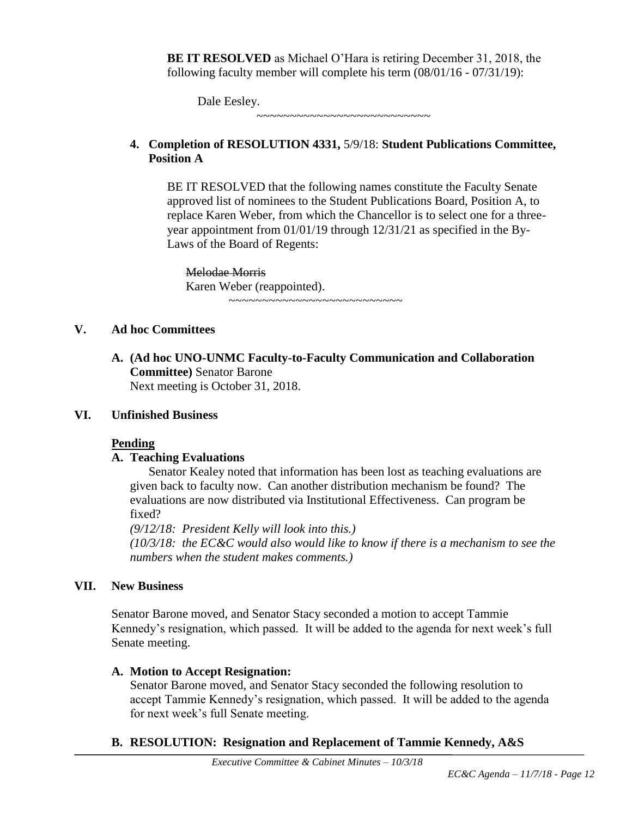**BE IT RESOLVED** as Michael O'Hara is retiring December 31, 2018, the following faculty member will complete his term (08/01/16 - 07/31/19):

Dale Eesley.

#### **4. Completion of RESOLUTION 4331,** 5/9/18: **Student Publications Committee, Position A**

~~~~~~~~~~~~~~~~~~~~~~~~~~

BE IT RESOLVED that the following names constitute the Faculty Senate approved list of nominees to the Student Publications Board, Position A, to replace Karen Weber, from which the Chancellor is to select one for a threeyear appointment from 01/01/19 through 12/31/21 as specified in the By-Laws of the Board of Regents:

Melodae Morris Karen Weber (reappointed). ~~~~~~~~~~~~~~~~~~~~~~~~~~

#### **V. Ad hoc Committees**

**A. (Ad hoc UNO-UNMC Faculty-to-Faculty Communication and Collaboration Committee)** Senator Barone Next meeting is October 31, 2018.

#### **VI. Unfinished Business**

# **Pending**

# **A. Teaching Evaluations**

Senator Kealey noted that information has been lost as teaching evaluations are given back to faculty now. Can another distribution mechanism be found? The evaluations are now distributed via Institutional Effectiveness. Can program be fixed?

*(9/12/18: President Kelly will look into this.)*

*(10/3/18: the EC&C would also would like to know if there is a mechanism to see the numbers when the student makes comments.)*

# **VII. New Business**

Senator Barone moved, and Senator Stacy seconded a motion to accept Tammie Kennedy's resignation, which passed. It will be added to the agenda for next week's full Senate meeting.

# **A. Motion to Accept Resignation:**

Senator Barone moved, and Senator Stacy seconded the following resolution to accept Tammie Kennedy's resignation, which passed. It will be added to the agenda for next week's full Senate meeting.

# **B. RESOLUTION: Resignation and Replacement of Tammie Kennedy, A&S**